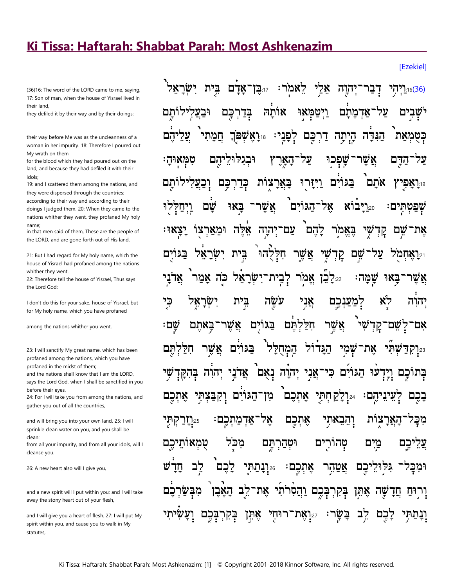## Ki Tissa: Haftarah: Shabbat Parah: Most Ashkenazim

(36)16: The word of the LORD came to me, saying, 17: Son of man, when the house of Yisrael lived in their land.

they defiled it by their way and by their doings:

their way before Me was as the uncleanness of a woman in her impurity. 18: Therefore I poured out My wrath on them

for the blood which they had poured out on the land, and because they had defiled it with their idols:

19: and I scattered them among the nations, and they were dispersed through the countries: according to their way and according to their doings I judged them. 20: When they came to the nations whither they went, they profaned My holy name:

in that men said of them. These are the people of the LORD, and are gone forth out of His land.

21: But I had regard for My holy name, which the house of Yisrael had profaned among the nations whither they went.

22: Therefore tell the house of Yisrael, Thus says the Lord God:

I don't do this for your sake, house of Yisrael, but for My holy name, which you have profaned

among the nations whither you went.

23: I will sanctify My great name, which has been profaned among the nations, which you have profaned in the midst of them:

and the nations shall know that I am the LORD, says the Lord God, when I shall be sanctified in you before their eves

24: For I will take you from among the nations, and gather you out of all the countries,

and will bring you into your own land. 25: I will sprinkle clean water on you, and you shall be clean<sup>.</sup>

from all your impurity, and from all your idols, will I cleanse you.

26: A new heart also will I give you,

and a new spirit will I put within you; and I will take away the stony heart out of your flesh,

and I will give you a heart of flesh. 27: I will put My spirit within you, and cause you to walk in My statutes,

ישראל זוּבֵן־אַדַם בֵית אֵלֵי לֵאמֹר: ריִהוָה <u> 16(36).</u>[יְהָי אותה וּבע ויטמאי אדמתם ישבים לותם כם בְּדַרִ לְפַנָי: יּיֵרָאֵשָׁפֹּךְ הַנִּדָּה הָיִתָּה דַרִכָּם חמתי כטמאת וּבגלוּל על הם שפכוּ אש הדם טמאוּה הַאַרִץ בַּגּוֹיָם וַיִּזַּרוּ לותם כִּדַרְכָּם <u>בַּאֲרָצוֹת</u> אתם יו**ַ'אַפי**' אַשֵׁר 20.[יבוא אל־הגוים שם באי שפטתים: עַם־יִהוָה אֵלֵה לַהֵם בֵאֲמֹר ומארצו שם את קַד ישר שִׁי אֲשֵׁר חִלְלְהוּ בית ים קְדָ שם 21**.1אחמ**ד יַּלַבֵן אֱמֹר לָבִית־יִשָּׂרָאֵל ני' כה אמו שמה: באי אשו עשה אַנִי לא כי בית יהוה למענכם אַשר אַשֵׁר בַּגּוֹיִם חַלַּלְתֵּם <u>שי (שי</u> לשם־קַדִ שם: באתם אם־ אֵת־שָׁמִי הַגַּדוֹל הַמְחָלַל אַשֵׁר חַיַּק בגוים 23**ּרַקְדַּשׁת**ִי תם יעוּ הַגּוֹיִם כִּי־אֲנִי יְהוָה נְאֻם אֲדֹנָי יְהוִה בְּהִקֶּדְ בתוכם ויד מן־הגוים וקבצתי לעיניהם: 24.ולקחתי אתכם בכם אל־אדמתכם: אתכם וְהֵבָאתי הַאֲרַצות 25**ּרַזַרַקִתִּי** מכּק טְהורִים טמאותי מכד וּטְהַרְתֵּם מים יכם לב 26.**וְבָתַתְּי** יכם לכם אָתִכֵם 7171 אַטַהָר וּמְכַַד בְּקִרְבָּכֶם וַהֲסִרֹתִי אֵת־לֵב הָאֵבֵן מבי שַה אָתֵּן ורוּח חד וְנַתִּתֵּי בַּשַׂר: 27אָת־רוּחִי בִּקְרִבְּכֵם אַחַן <u>דב</u> לכם

## [Ezekiel]